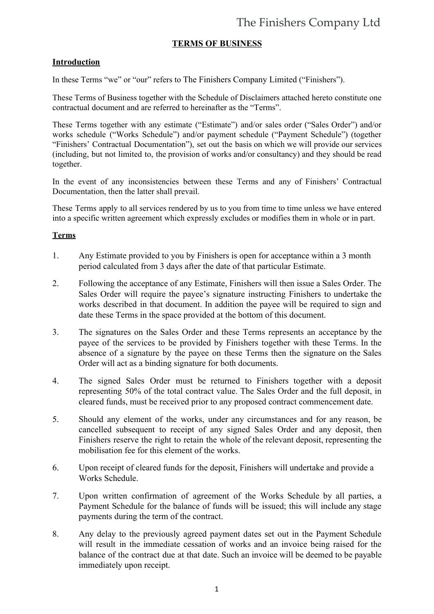# The Finishers Company Ltd

### **TERMS OF BUSINESS**

#### **Introduction**

In these Terms "we" or "our" refers to The Finishers Company Limited ("Finishers").

These Terms of Business together with the Schedule of Disclaimers attached hereto constitute one contractual document and are referred to hereinafter as the "Terms".

These Terms together with any estimate ("Estimate") and/or sales order ("Sales Order") and/or works schedule ("Works Schedule") and/or payment schedule ("Payment Schedule") (together "Finishers' Contractual Documentation"), set out the basis on which we will provide our services (including, but not limited to, the provision of works and/or consultancy) and they should be read together.

In the event of any inconsistencies between these Terms and any of Finishers' Contractual Documentation, then the latter shall prevail.

These Terms apply to all services rendered by us to you from time to time unless we have entered into a specific written agreement which expressly excludes or modifies them in whole or in part.

#### **Terms**

- 1. Any Estimate provided to you by Finishers is open for acceptance within a 3 month period calculated from 3 days after the date of that particular Estimate.
- 2. Following the acceptance of any Estimate, Finishers will then issue a Sales Order. The Sales Order will require the payee's signature instructing Finishers to undertake the works described in that document. In addition the payee will be required to sign and date these Terms in the space provided at the bottom of this document.
- 3. The signatures on the Sales Order and these Terms represents an acceptance by the payee of the services to be provided by Finishers together with these Terms. In the absence of a signature by the payee on these Terms then the signature on the Sales Order will act as a binding signature for both documents.
- 4. The signed Sales Order must be returned to Finishers together with a deposit representing 50% of the total contract value. The Sales Order and the full deposit, in cleared funds, must be received prior to any proposed contract commencement date.
- 5. Should any element of the works, under any circumstances and for any reason, be cancelled subsequent to receipt of any signed Sales Order and any deposit, then Finishers reserve the right to retain the whole of the relevant deposit, representing the mobilisation fee for this element of the works.
- 6. Upon receipt of cleared funds for the deposit, Finishers will undertake and provide a Works Schedule.
- 7. Upon written confirmation of agreement of the Works Schedule by all parties, a Payment Schedule for the balance of funds will be issued; this will include any stage payments during the term of the contract.
- 8. Any delay to the previously agreed payment dates set out in the Payment Schedule will result in the immediate cessation of works and an invoice being raised for the balance of the contract due at that date. Such an invoice will be deemed to be payable immediately upon receipt.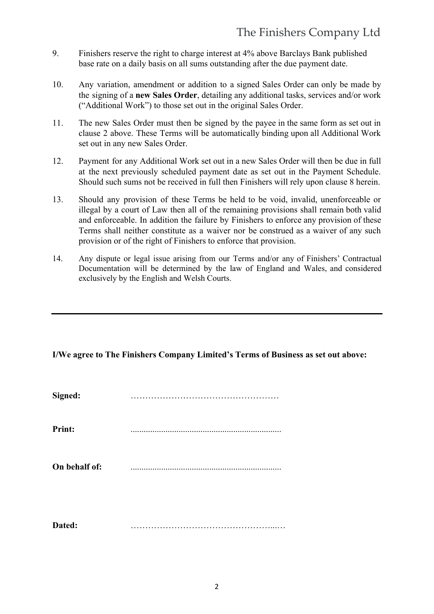- 9. Finishers reserve the right to charge interest at 4% above Barclays Bank published base rate on a daily basis on all sums outstanding after the due payment date.
- 10. Any variation, amendment or addition to a signed Sales Order can only be made by the signing of a **new Sales Order**, detailing any additional tasks, services and/or work ("Additional Work") to those set out in the original Sales Order.
- 11. The new Sales Order must then be signed by the payee in the same form as set out in clause 2 above. These Terms will be automatically binding upon all Additional Work set out in any new Sales Order.
- 12. Payment for any Additional Work set out in a new Sales Order will then be due in full at the next previously scheduled payment date as set out in the Payment Schedule. Should such sums not be received in full then Finishers will rely upon clause 8 herein.
- 13. Should any provision of these Terms be held to be void, invalid, unenforceable or illegal by a court of Law then all of the remaining provisions shall remain both valid and enforceable. In addition the failure by Finishers to enforce any provision of these Terms shall neither constitute as a waiver nor be construed as a waiver of any such provision or of the right of Finishers to enforce that provision.
- 14. Any dispute or legal issue arising from our Terms and/or any of Finishers' Contractual Documentation will be determined by the law of England and Wales, and considered exclusively by the English and Welsh Courts.

**I/We agree to The Finishers Company Limited's Terms of Business as set out above:**

| Signed:       |  |
|---------------|--|
| <b>Print:</b> |  |
| On behalf of: |  |
| Dated:        |  |